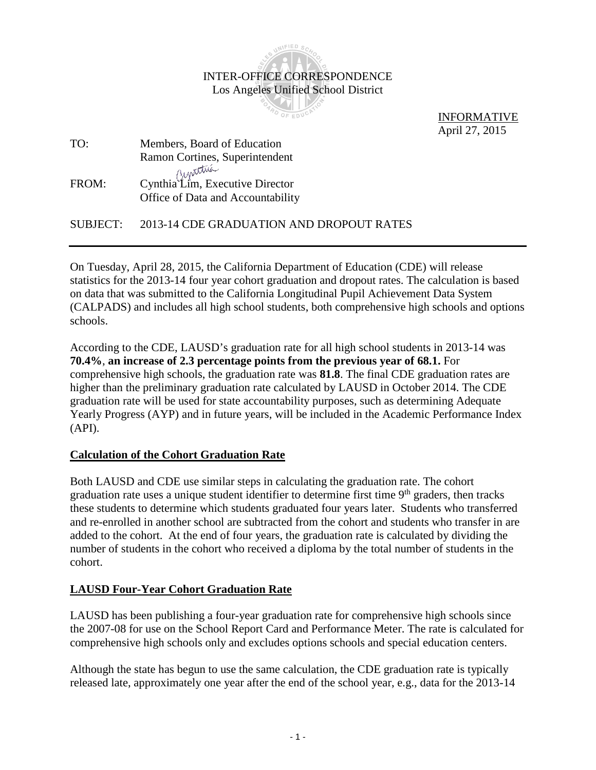

 INFORMATIVE April 27, 2015

| TO:   | Members, Board of Education                                          |
|-------|----------------------------------------------------------------------|
|       | Ramon Cortines, Superintendent                                       |
| FROM: | Cynthia Lim, Executive Director<br>Office of Data and Accountability |

SUBJECT: 2013-14 CDE GRADUATION AND DROPOUT RATES

On Tuesday, April 28, 2015, the California Department of Education (CDE) will release statistics for the 2013-14 four year cohort graduation and dropout rates. The calculation is based on data that was submitted to the California Longitudinal Pupil Achievement Data System (CALPADS) and includes all high school students, both comprehensive high schools and options schools.

According to the CDE, LAUSD's graduation rate for all high school students in 2013-14 was **70.4%**, **an increase of 2.3 percentage points from the previous year of 68.1.** For comprehensive high schools, the graduation rate was **81.8**. The final CDE graduation rates are higher than the preliminary graduation rate calculated by LAUSD in October 2014. The CDE graduation rate will be used for state accountability purposes, such as determining Adequate Yearly Progress (AYP) and in future years, will be included in the Academic Performance Index (API).

## **Calculation of the Cohort Graduation Rate**

Both LAUSD and CDE use similar steps in calculating the graduation rate. The cohort graduation rate uses a unique student identifier to determine first time 9<sup>th</sup> graders, then tracks these students to determine which students graduated four years later. Students who transferred and re-enrolled in another school are subtracted from the cohort and students who transfer in are added to the cohort. At the end of four years, the graduation rate is calculated by dividing the number of students in the cohort who received a diploma by the total number of students in the cohort.

## **LAUSD Four-Year Cohort Graduation Rate**

LAUSD has been publishing a four-year graduation rate for comprehensive high schools since the 2007-08 for use on the School Report Card and Performance Meter. The rate is calculated for comprehensive high schools only and excludes options schools and special education centers.

Although the state has begun to use the same calculation, the CDE graduation rate is typically released late, approximately one year after the end of the school year, e.g., data for the 2013-14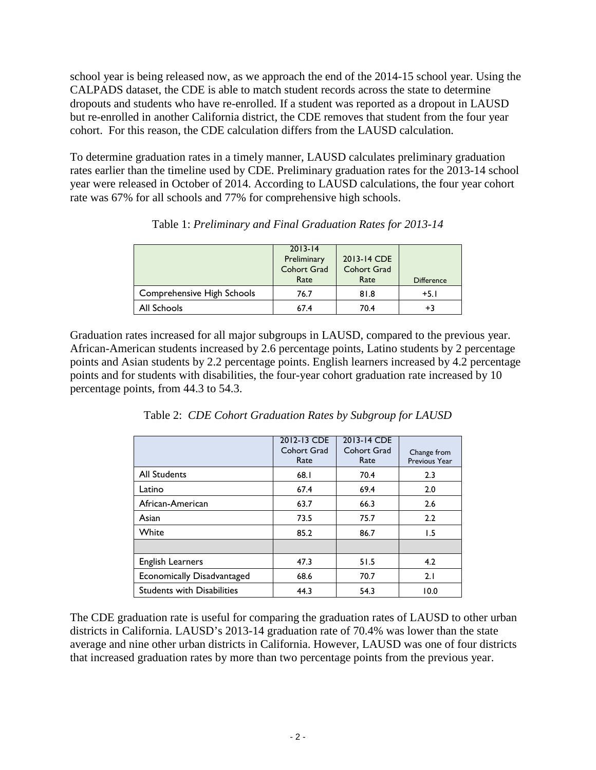school year is being released now, as we approach the end of the 2014-15 school year. Using the CALPADS dataset, the CDE is able to match student records across the state to determine dropouts and students who have re-enrolled. If a student was reported as a dropout in LAUSD but re-enrolled in another California district, the CDE removes that student from the four year cohort. For this reason, the CDE calculation differs from the LAUSD calculation.

To determine graduation rates in a timely manner, LAUSD calculates preliminary graduation rates earlier than the timeline used by CDE. Preliminary graduation rates for the 2013-14 school year were released in October of 2014. According to LAUSD calculations, the four year cohort rate was 67% for all schools and 77% for comprehensive high schools.

|                            | $2013 - 14$<br>Preliminary<br><b>Cohort Grad</b><br>Rate | 2013-14 CDE<br>Cohort Grad<br>Rate | <b>Difference</b> |
|----------------------------|----------------------------------------------------------|------------------------------------|-------------------|
| Comprehensive High Schools | 76.7                                                     | 81.8                               | +5.I              |
| All Schools                | 67.4                                                     | 70.4                               | $+3$              |

Table 1: *Preliminary and Final Graduation Rates for 2013-14*

Graduation rates increased for all major subgroups in LAUSD, compared to the previous year. African-American students increased by 2.6 percentage points, Latino students by 2 percentage points and Asian students by 2.2 percentage points. English learners increased by 4.2 percentage points and for students with disabilities, the four-year cohort graduation rate increased by 10 percentage points, from 44.3 to 54.3.

|                                   | 2012-13 CDE<br>Cohort Grad<br>Rate | 2013-14 CDE<br>Cohort Grad<br>Rate | Change from<br>Previous Year |
|-----------------------------------|------------------------------------|------------------------------------|------------------------------|
| <b>All Students</b>               | 68.1                               | 70.4                               | 2.3                          |
| Latino                            | 67.4                               | 69.4                               | 2.0                          |
| African-American                  | 63.7                               | 66.3                               | 2.6                          |
| Asian                             | 73.5                               | 75.7                               | 2.2                          |
| White                             | 85.2                               | 86.7                               | 1.5                          |
|                                   |                                    |                                    |                              |
| English Learners                  | 47.3                               | 51.5                               | 4.2                          |
| Economically Disadvantaged        | 68.6                               | 70.7                               | 2.1                          |
| <b>Students with Disabilities</b> | 44.3                               | 54.3                               | 10.0                         |

Table 2: *CDE Cohort Graduation Rates by Subgroup for LAUSD*

The CDE graduation rate is useful for comparing the graduation rates of LAUSD to other urban districts in California. LAUSD's 2013-14 graduation rate of 70.4% was lower than the state average and nine other urban districts in California. However, LAUSD was one of four districts that increased graduation rates by more than two percentage points from the previous year.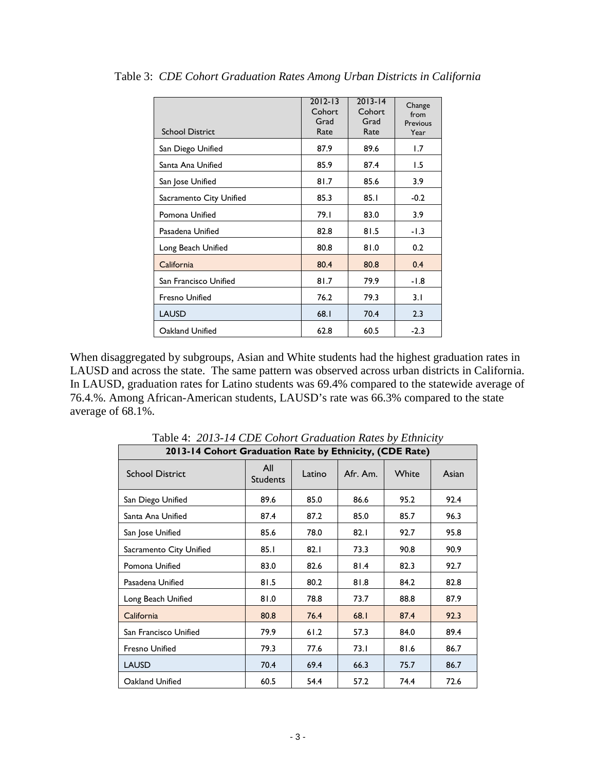| <b>School District</b>  | $2012 - 13$<br>Cohort<br>Grad<br>Rate | $2013 - 14$<br>Cohort<br>Grad<br>Rate | Change<br>from<br>Previous<br>Year |
|-------------------------|---------------------------------------|---------------------------------------|------------------------------------|
| San Diego Unified       | 87.9                                  | 89.6                                  | 1.7                                |
| Santa Ana Unified       | 85.9                                  | 87.4                                  | 1.5                                |
| San Jose Unified        | 81.7                                  | 85.6                                  | 3.9                                |
| Sacramento City Unified | 85.3                                  | 85.1                                  | $-0.2$                             |
| Pomona Unified          | 79.1                                  | 83.0                                  | 3.9                                |
| Pasadena Unified        | 82.8                                  | 81.5                                  | $-1.3$                             |
| Long Beach Unified      | 80.8                                  | 81.0                                  | 0.2                                |
| California              | 80.4                                  | 80.8                                  | 0.4                                |
| San Francisco Unified   | 81.7                                  | 79.9                                  | -1.8                               |
| <b>Fresno Unified</b>   | 76.2                                  | 79.3                                  | 3.1                                |
| <b>LAUSD</b>            | 68.1                                  | 70.4                                  | 2.3                                |
| Oakland Unified         | 62.8                                  | 60.5                                  | $-2.3$                             |

Table 3: *CDE Cohort Graduation Rates Among Urban Districts in California*

When disaggregated by subgroups, Asian and White students had the highest graduation rates in LAUSD and across the state. The same pattern was observed across urban districts in California. In LAUSD, graduation rates for Latino students was 69.4% compared to the statewide average of 76.4.%. Among African-American students, LAUSD's rate was 66.3% compared to the state average of 68.1%.

| 2013-14 Cohort Graduation Rate by Ethnicity, (CDE Rate) |                        |        |          |       |       |
|---------------------------------------------------------|------------------------|--------|----------|-------|-------|
| <b>School District</b>                                  | All<br><b>Students</b> | Latino | Afr. Am. | White | Asian |
| San Diego Unified                                       | 89.6                   | 85.0   | 86.6     | 95.2  | 92.4  |
| Santa Ana Unified                                       | 87.4                   | 87.2   | 85.0     | 85.7  | 96.3  |
| San Jose Unified                                        | 85.6                   | 78.0   | 82.1     | 92.7  | 95.8  |
| Sacramento City Unified                                 | 85.I                   | 82.1   | 73.3     | 90.8  | 90.9  |
| Pomona Unified                                          | 83.0                   | 82.6   | 81.4     | 82.3  | 92.7  |
| Pasadena Unified                                        | 81.5                   | 80.2   | 81.8     | 84.2  | 82.8  |
| Long Beach Unified                                      | 81.0                   | 78.8   | 73.7     | 88.8  | 87.9  |
| California                                              | 80.8                   | 76.4   | 68.1     | 87.4  | 92.3  |
| San Francisco Unified                                   | 79.9                   | 61.2   | 57.3     | 84.0  | 89.4  |
| <b>Fresno Unified</b>                                   | 79.3                   | 77.6   | 73.1     | 81.6  | 86.7  |
| <b>LAUSD</b>                                            | 70.4                   | 69.4   | 66.3     | 75.7  | 86.7  |
| Oakland Unified                                         | 60.5                   | 54.4   | 57.2     | 74.4  | 72.6  |

Table 4: *2013-14 CDE Cohort Graduation Rates by Ethnicity*